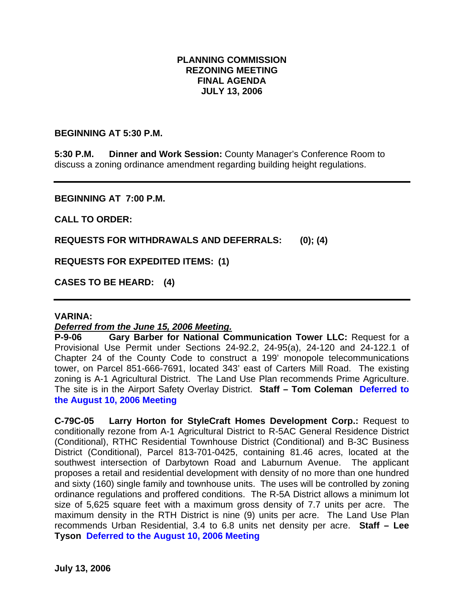# **PLANNING COMMISSION REZONING MEETING FINAL AGENDA JULY 13, 2006**

#### **BEGINNING AT 5:30 P.M.**

**5:30 P.M. Dinner and Work Session:** County Manager's Conference Room to discuss a zoning ordinance amendment regarding building height regulations.

#### **BEGINNING AT 7:00 P.M.**

**CALL TO ORDER:** 

**REQUESTS FOR WITHDRAWALS AND DEFERRALS: (0); (4)** 

**REQUESTS FOR EXPEDITED ITEMS: (1)** 

**CASES TO BE HEARD: (4)** 

#### **VARINA:**

# *Deferred from the June 15, 2006 Meeting.*

**P-9-06 Gary Barber for National Communication Tower LLC:** Request for a Provisional Use Permit under Sections 24-92.2, 24-95(a), 24-120 and 24-122.1 of Chapter 24 of the County Code to construct a 199' monopole telecommunications tower, on Parcel 851-666-7691, located 343' east of Carters Mill Road. The existing zoning is A-1 Agricultural District. The Land Use Plan recommends Prime Agriculture. The site is in the Airport Safety Overlay District. **Staff – Tom Coleman Deferred to the August 10, 2006 Meeting**

**C-79C-05 Larry Horton for StyleCraft Homes Development Corp.:** Request to conditionally rezone from A-1 Agricultural District to R-5AC General Residence District (Conditional), RTHC Residential Townhouse District (Conditional) and B-3C Business District (Conditional), Parcel 813-701-0425, containing 81.46 acres, located at the southwest intersection of Darbytown Road and Laburnum Avenue. The applicant proposes a retail and residential development with density of no more than one hundred and sixty (160) single family and townhouse units. The uses will be controlled by zoning ordinance regulations and proffered conditions. The R-5A District allows a minimum lot size of 5,625 square feet with a maximum gross density of 7.7 units per acre. The maximum density in the RTH District is nine (9) units per acre. The Land Use Plan recommends Urban Residential, 3.4 to 6.8 units net density per acre. **Staff – Lee Tyson Deferred to the August 10, 2006 Meeting**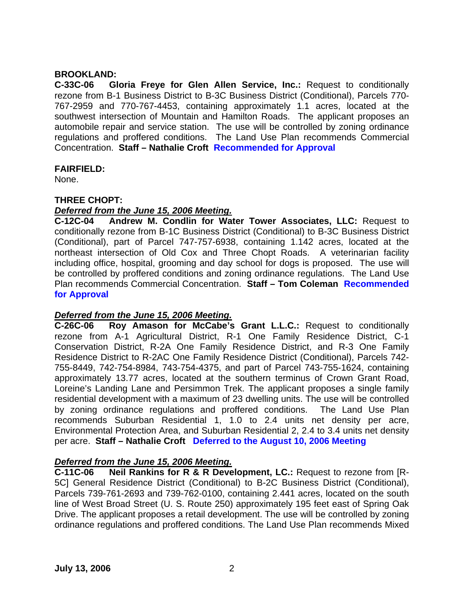### **BROOKLAND:**

**C-33C-06 Gloria Freye for Glen Allen Service, Inc.:** Request to conditionally rezone from B-1 Business District to B-3C Business District (Conditional), Parcels 770- 767-2959 and 770-767-4453, containing approximately 1.1 acres, located at the southwest intersection of Mountain and Hamilton Roads. The applicant proposes an automobile repair and service station. The use will be controlled by zoning ordinance regulations and proffered conditions. The Land Use Plan recommends Commercial Concentration. **Staff – Nathalie Croft Recommended for Approval**

### **FAIRFIELD:**

None.

### **THREE CHOPT:**

### *Deferred from the June 15, 2006 Meeting.*

**C-12C-04 Andrew M. Condlin for Water Tower Associates, LLC:** Request to conditionally rezone from B-1C Business District (Conditional) to B-3C Business District (Conditional), part of Parcel 747-757-6938, containing 1.142 acres, located at the northeast intersection of Old Cox and Three Chopt Roads. A veterinarian facility including office, hospital, grooming and day school for dogs is proposed. The use will be controlled by proffered conditions and zoning ordinance regulations. The Land Use Plan recommends Commercial Concentration. **Staff – Tom Coleman Recommended for Approval** 

# *Deferred from the June 15, 2006 Meeting.*

**C-26C-06 Roy Amason for McCabe's Grant L.L.C.:** Request to conditionally rezone from A-1 Agricultural District, R-1 One Family Residence District, C-1 Conservation District, R-2A One Family Residence District, and R-3 One Family Residence District to R-2AC One Family Residence District (Conditional), Parcels 742- 755-8449, 742-754-8984, 743-754-4375, and part of Parcel 743-755-1624, containing approximately 13.77 acres, located at the southern terminus of Crown Grant Road, Loreine's Landing Lane and Persimmon Trek. The applicant proposes a single family residential development with a maximum of 23 dwelling units. The use will be controlled by zoning ordinance regulations and proffered conditions. The Land Use Plan recommends Suburban Residential 1, 1.0 to 2.4 units net density per acre, Environmental Protection Area, and Suburban Residential 2, 2.4 to 3.4 units net density per acre. **Staff – Nathalie Croft Deferred to the August 10, 2006 Meeting** 

# *Deferred from the June 15, 2006 Meeting.*

**C-11C-06 Neil Rankins for R & R Development, LC.:** Request to rezone from [R-5C] General Residence District (Conditional) to B-2C Business District (Conditional), Parcels 739-761-2693 and 739-762-0100, containing 2.441 acres, located on the south line of West Broad Street (U. S. Route 250) approximately 195 feet east of Spring Oak Drive. The applicant proposes a retail development. The use will be controlled by zoning ordinance regulations and proffered conditions. The Land Use Plan recommends Mixed